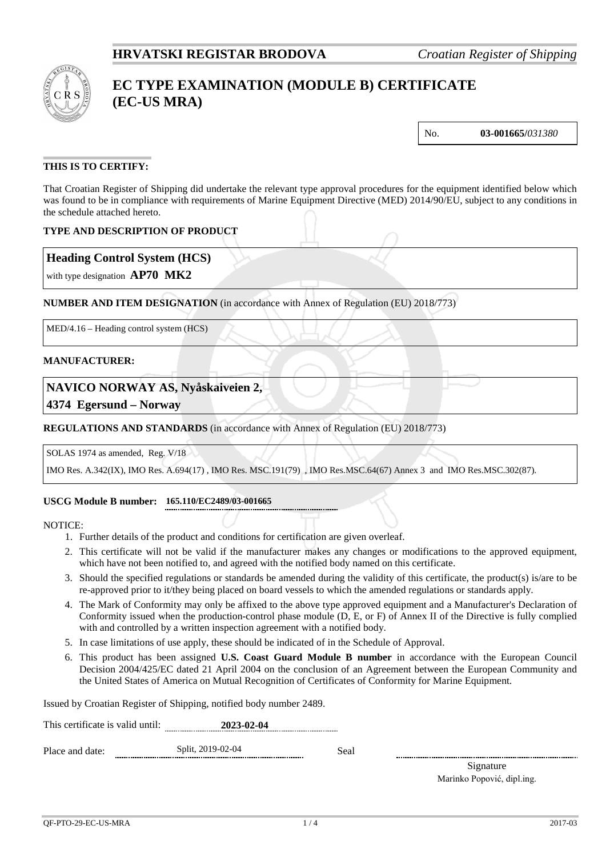

# **EC TYPE EXAMINATION (MODULE B) CERTIFICATE (EC-US MRA)**

No. **03-001665/***031380*

## **THIS IS TO CERTIFY:**

That Croatian Register of Shipping did undertake the relevant type approval procedures for the equipment identified below which was found to be in compliance with requirements of Marine Equipment Directive (MED) 2014/90/EU, subject to any conditions in the schedule attached hereto.

## **TYPE AND DESCRIPTION OF PRODUCT**

## **Heading Control System (HCS)**

with type designation **AP70 MK2**

## **NUMBER AND ITEM DESIGNATION** (in accordance with Annex of Regulation (EU) 2018/773)

MED/4.16 – Heading control system (HCS)

#### **MANUFACTURER:**

## **NAVICO NORWAY AS, Nyåskaiveien 2,**

**4374 Egersund – Norway**

### **REGULATIONS AND STANDARDS** (in accordance with Annex of Regulation (EU) 2018/773)

#### SOLAS 1974 as amended, Reg. V/18

IMO Res. A.342(IX), IMO Res. A.694(17) , IMO Res. MSC.191(79) , IMO Res.MSC.64(67) Annex 3 and IMO Res.MSC.302(87).

#### **USCG Module B number: 165.110/EC2489/03-001665**

#### NOTICE:

- 1. Further details of the product and conditions for certification are given overleaf.
- 2. This certificate will not be valid if the manufacturer makes any changes or modifications to the approved equipment, which have not been notified to, and agreed with the notified body named on this certificate.
- 3. Should the specified regulations or standards be amended during the validity of this certificate, the product(s) is/are to be re-approved prior to it/they being placed on board vessels to which the amended regulations or standards apply.
- 4. The Mark of Conformity may only be affixed to the above type approved equipment and a Manufacturer's Declaration of Conformity issued when the production-control phase module (D, E, or F) of Annex II of the Directive is fully complied with and controlled by a written inspection agreement with a notified body.
- 5. In case limitations of use apply, these should be indicated of in the Schedule of Approval.
- 6. This product has been assigned **U.S. Coast Guard Module B number** in accordance with the European Council Decision 2004/425/EC dated 21 April 2004 on the conclusion of an Agreement between the European Community and the United States of America on Mutual Recognition of Certificates of Conformity for Marine Equipment.

Issued by Croatian Register of Shipping, notified body number 2489.

| This certificate is valid until: | 2023-02-04 |
|----------------------------------|------------|
|                                  |            |

Place and date: Split, 2019-02-04 Seal

Signature Marinko Popović, dipl.ing.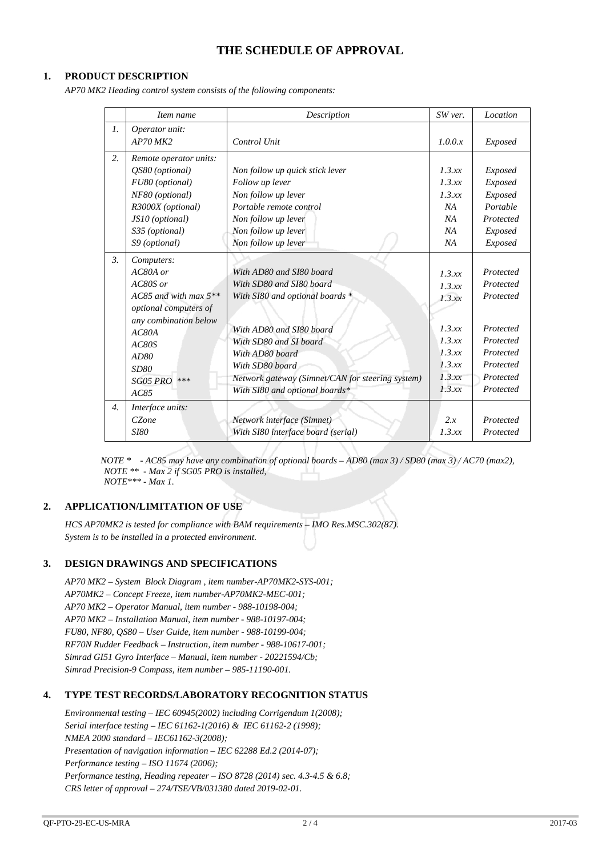## **THE SCHEDULE OF APPROVAL**

### **1. PRODUCT DESCRIPTION**

*AP70 MK2 Heading control system consists of the following components:*

|                  | Item name               | Description                                      | SW ver. | Location  |
|------------------|-------------------------|--------------------------------------------------|---------|-----------|
| $\mathcal{I}$ .  | Operator unit:          |                                                  |         |           |
|                  | $AP70$ MK2              | Control Unit                                     | 1.0.0.x | Exposed   |
| 2.               | Remote operator units:  |                                                  |         |           |
|                  | OS80 (optional)         | Non follow up quick stick lever                  | 1.3.xx  | Exposed   |
|                  | FU80 (optional)         | Follow up lever                                  | 1.3.xx  | Exposed   |
|                  | NF80 (optional)         | Non follow up lever                              | 1.3.xx  | Exposed   |
|                  | R3000X (optional)       | Portable remote control                          | NA      | Portable  |
|                  | JS10 (optional)         | Non follow up lever                              | NA      | Protected |
|                  | S35 (optional)          | Non follow up lever                              | NA      | Exposed   |
|                  | S9 (optional)           | Non follow up lever                              | NA      | Exposed   |
| $\mathfrak{Z}$ . | Computers:              |                                                  |         |           |
|                  | AC80A or                | With AD80 and SI80 board                         | 1.3.xx  | Protected |
|                  | $AC80S$ or              | With SD80 and SI80 board                         | 1.3.xx  | Protected |
|                  | AC85 and with max $5**$ | With SI80 and optional boards *                  | 1.3.xx  | Protected |
|                  | optional computers of   |                                                  |         |           |
|                  | any combination below   |                                                  |         |           |
|                  | AC80A                   | With AD80 and SI80 board                         | 1.3.xx  | Protected |
|                  | AC80S                   | With SD80 and SI board                           | 1.3.xx  | Protected |
|                  | AD80                    | With AD80 board                                  | 1.3 xx  | Protected |
|                  | SD80                    | With SD80 board                                  | 1.3.xx  | Protected |
|                  | SG05 PRO<br>***         | Network gateway (Simnet/CAN for steering system) | 1.3.xx  | Protected |
|                  | AC85                    | With SI80 and optional boards*                   | 1.3.xx  | Protected |
| $\overline{4}$ . | Interface units:        |                                                  |         |           |
|                  | CZone                   | Network interface (Simnet)                       | 2.x     | Protected |
|                  | <i>SI80</i>             | With SI80 interface board (serial)               | 1.3.xx  | Protected |

 *NOTE \* - AC85 may have any combination of optional boards – AD80 (max 3) / SD80 (max 3) / AC70 (max2), NOTE \*\* - Max 2 if SG05 PRO is installed, NOTE\*\*\* - Max 1.*

#### **2. APPLICATION/LIMITATION OF USE**

*HCS AP70MK2 is tested for compliance with BAM requirements – IMO Res.MSC.302(87). System is to be installed in a protected environment.*

#### **3. DESIGN DRAWINGS AND SPECIFICATIONS**

*AP70 MK2 – System Block Diagram , item number-AP70MK2-SYS-001; AP70MK2 – Concept Freeze, item number-AP70MK2-MEC-001; AP70 MK2 – Operator Manual, item number - 988-10198-004; AP70 MK2 – Installation Manual, item number - 988-10197-004; FU80, NF80, QS80 – User Guide, item number - 988-10199-004; RF70N Rudder Feedback – Instruction, item number - 988-10617-001; Simrad GI51 Gyro Interface – Manual, item number - 20221594/Cb; Simrad Precision-9 Compass, item number – 985-11190-001.*

#### **4. TYPE TEST RECORDS/LABORATORY RECOGNITION STATUS**

*Environmental testing – IEC 60945(2002) including Corrigendum 1(2008); Serial interface testing – IEC 61162-1(2016) & IEC 61162-2 (1998); NMEA 2000 standard – IEC61162-3(2008); Presentation of navigation information – IEC 62288 Ed.2 (2014-07); Performance testing – ISO 11674 (2006); Performance testing, Heading repeater – ISO 8728 (2014) sec. 4.3-4.5 & 6.8; CRS letter of approval – 274/TSE/VB/031380 dated 2019-02-01.*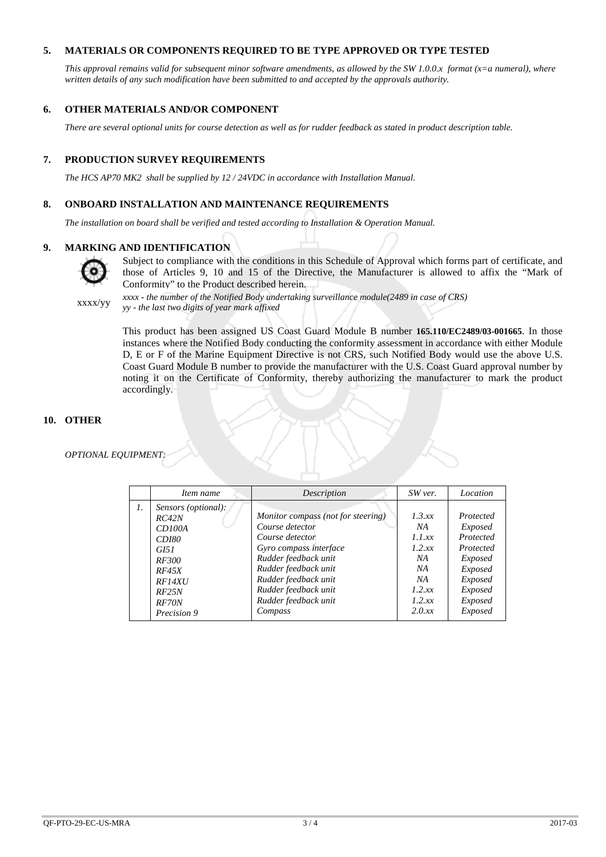### **5. MATERIALS OR COMPONENTS REQUIRED TO BE TYPE APPROVED OR TYPE TESTED**

*This approval remains valid for subsequent minor software amendments, as allowed by the SW 1.0.0.x format (x=a numeral), where written details of any such modification have been submitted to and accepted by the approvals authority.*

#### **6. OTHER MATERIALS AND/OR COMPONENT**

*There are several optional units for course detection as well as for rudder feedback as stated in product description table.*

#### **7. PRODUCTION SURVEY REQUIREMENTS**

*The HCS AP70 MK2 shall be supplied by 12 / 24VDC in accordance with Installation Manual.*

#### **8. ONBOARD INSTALLATION AND MAINTENANCE REQUIREMENTS**

*The installation on board shall be verified and tested according to Installation & Operation Manual.*

#### **9. MARKING AND IDENTIFICATION**



Subject to compliance with the conditions in this Schedule of Approval which forms part of certificate, and those of Articles 9, 10 and 15 of the Directive, the Manufacturer is allowed to affix the "Mark of Conformity" to the Product described herein.

xxxx/yy *xxxx - the number of the Notified Body undertaking surveillance module(2489 in case of CRS) yy - the last two digits of year mark affixed*

> This product has been assigned US Coast Guard Module B number **165.110/EC2489/03-001665**. In those instances where the Notified Body conducting the conformity assessment in accordance with either Module D, E or F of the Marine Equipment Directive is not CRS, such Notified Body would use the above U.S. Coast Guard Module B number to provide the manufacturer with the U.S. Coast Guard approval number by noting it on the Certificate of Conformity, thereby authorizing the manufacturer to mark the product accordingly.

#### **10. OTHER**

*OPTIONAL EQUIPMENT:*

|    | Item name                                                                                                                                 | Description                                                                                                                                                                                                                           | SW ver.                                                                          | Location                                                                                                         |
|----|-------------------------------------------------------------------------------------------------------------------------------------------|---------------------------------------------------------------------------------------------------------------------------------------------------------------------------------------------------------------------------------------|----------------------------------------------------------------------------------|------------------------------------------------------------------------------------------------------------------|
| 1. | Sensors (optional):<br>RC42N<br>CD100A<br><i>CD180</i><br><i>GI51</i><br><i>RF300</i><br>RF45X<br>RF14XU<br>RF25N<br>RF70N<br>Precision 9 | Monitor compass (not for steering)<br>Course detector<br>Course detector<br>Gyro compass interface<br>Rudder feedback unit<br>Rudder feedback unit<br>Rudder feedback unit<br>Rudder feedback unit<br>Rudder feedback unit<br>Compass | 1.3.xx<br>NA<br>1.1 xx<br>1.2 xx<br>NA<br>NA<br>NA<br>1.2 xx<br>1.2 xx<br>2.0 xx | Protected<br>Exposed<br>Protected<br>Protected<br>Exposed<br>Exposed<br>Exposed<br>Exposed<br>Exposed<br>Exposed |